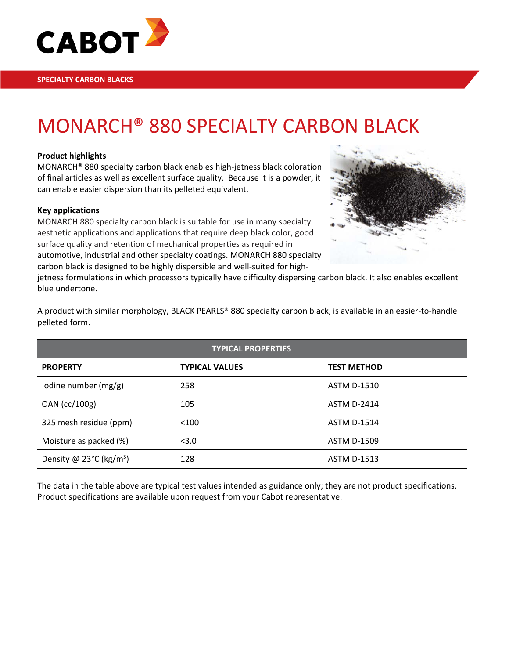

# MONARCH® 880 SPECIALTY CARBON BLACK

### **Product highlights**

MONARCH® 880 specialty carbon black enables high-jetness black coloration of final articles as well as excellent surface quality. Because it is a powder, it can enable easier dispersion than its pelleted equivalent.

### **Key applications**

MONARCH 880 specialty carbon black is suitable for use in many specialty aesthetic applications and applications that require deep black color, good surface quality and retention of mechanical properties as required in automotive, industrial and other specialty coatings. MONARCH 880 specialty carbon black is designed to be highly dispersible and well-suited for high-



jetness formulations in which processors typically have difficulty dispersing carbon black. It also enables excellent blue undertone.

A product with similar morphology, BLACK PEARLS® 880 specialty carbon black, is available in an easier-to-handle pelleted form.

| <b>TYPICAL PROPERTIES</b>                     |                       |                    |  |  |
|-----------------------------------------------|-----------------------|--------------------|--|--|
| <b>PROPERTY</b>                               | <b>TYPICAL VALUES</b> | <b>TEST METHOD</b> |  |  |
| lodine number (mg/g)                          | 258                   | <b>ASTM D-1510</b> |  |  |
| OAN (cc/100g)                                 | 105                   | <b>ASTM D-2414</b> |  |  |
| 325 mesh residue (ppm)                        | < 100                 | <b>ASTM D-1514</b> |  |  |
| Moisture as packed (%)                        | < 3.0                 | <b>ASTM D-1509</b> |  |  |
| Density @ $23^{\circ}$ C (kg/m <sup>3</sup> ) | 128                   | <b>ASTM D-1513</b> |  |  |

The data in the table above are typical test values intended as guidance only; they are not product specifications. Product specifications are available upon request from your Cabot representative.